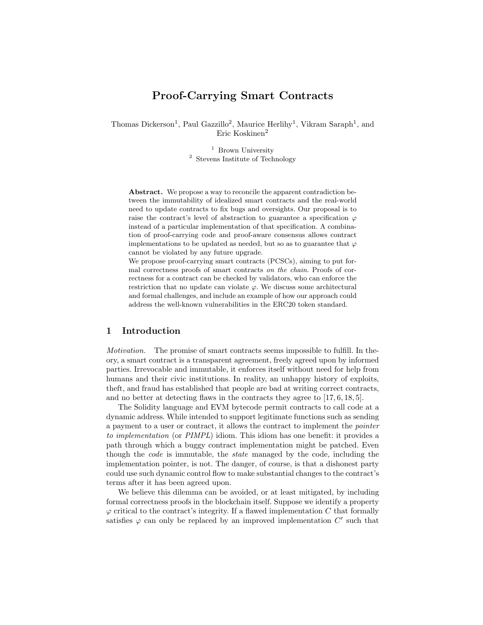# Proof-Carrying Smart Contracts

Thomas Dickerson<sup>1</sup>, Paul Gazzillo<sup>2</sup>, Maurice Herlihy<sup>1</sup>, Vikram Saraph<sup>1</sup>, and Eric Koskinen<sup>2</sup>

> <sup>1</sup> Brown University <sup>2</sup> Stevens Institute of Technology

Abstract. We propose a way to reconcile the apparent contradiction between the immutability of idealized smart contracts and the real-world need to update contracts to fix bugs and oversights. Our proposal is to raise the contract's level of abstraction to guarantee a specification  $\varphi$ instead of a particular implementation of that specification. A combination of proof-carrying code and proof-aware consensus allows contract implementations to be updated as needed, but so as to guarantee that  $\varphi$ cannot be violated by any future upgrade.

We propose proof-carrying smart contracts (PCSCs), aiming to put formal correctness proofs of smart contracts on the chain. Proofs of correctness for a contract can be checked by validators, who can enforce the restriction that no update can violate  $\varphi$ . We discuss some architectural and formal challenges, and include an example of how our approach could address the well-known vulnerabilities in the ERC20 token standard.

# 1 Introduction

Motivation. The promise of smart contracts seems impossible to fulfill. In theory, a smart contract is a transparent agreement, freely agreed upon by informed parties. Irrevocable and immutable, it enforces itself without need for help from humans and their civic institutions. In reality, an unhappy history of exploits, theft, and fraud has established that people are bad at writing correct contracts, and no better at detecting flaws in the contracts they agree to [17, 6, 18, 5].

The Solidity language and EVM bytecode permit contracts to call code at a dynamic address. While intended to support legitimate functions such as sending a payment to a user or contract, it allows the contract to implement the pointer to implementation (or PIMPL) idiom. This idiom has one benefit: it provides a path through which a buggy contract implementation might be patched. Even though the code is immutable, the state managed by the code, including the implementation pointer, is not. The danger, of course, is that a dishonest party could use such dynamic control flow to make substantial changes to the contract's terms after it has been agreed upon.

We believe this dilemma can be avoided, or at least mitigated, by including formal correctness proofs in the blockchain itself. Suppose we identify a property  $\varphi$  critical to the contract's integrity. If a flawed implementation C that formally satisfies  $\varphi$  can only be replaced by an improved implementation  $C'$  such that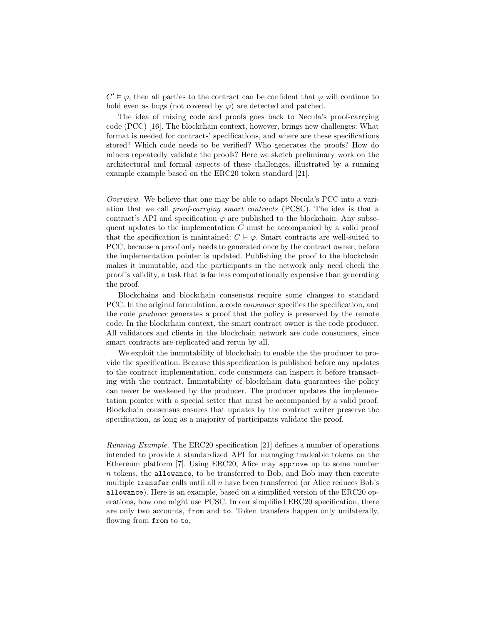$C' \vDash \varphi$ , then all parties to the contract can be confident that  $\varphi$  will continue to hold even as bugs (not covered by  $\varphi$ ) are detected and patched.

The idea of mixing code and proofs goes back to Necula's proof-carrying code (PCC) [16]. The blockchain context, however, brings new challenges: What format is needed for contracts' specifications, and where are these specifications stored? Which code needs to be verified? Who generates the proofs? How do miners repeatedly validate the proofs? Here we sketch preliminary work on the architectural and formal aspects of these challenges, illustrated by a running example example based on the ERC20 token standard [21].

Overview. We believe that one may be able to adapt Necula's PCC into a variation that we call proof-carrying smart contracts (PCSC). The idea is that a contract's API and specification  $\varphi$  are published to the blockchain. Any subsequent updates to the implementation  $C$  must be accompanied by a valid proof that the specification is maintained:  $C \models \varphi$ . Smart contracts are well-suited to PCC, because a proof only needs to generated once by the contract owner, before the implementation pointer is updated. Publishing the proof to the blockchain makes it immutable, and the participants in the network only need check the proof's validity, a task that is far less computationally expensive than generating the proof.

Blockchains and blockchain consensus require some changes to standard PCC. In the original formulation, a code consumer specifies the specification, and the code producer generates a proof that the policy is preserved by the remote code. In the blockchain context, the smart contract owner is the code producer. All validators and clients in the blockchain network are code consumers, since smart contracts are replicated and rerun by all.

We exploit the immutability of blockchain to enable the the producer to provide the specification. Because this specification is published before any updates to the contract implementation, code consumers can inspect it before transacting with the contract. Immutability of blockchain data guarantees the policy can never be weakened by the producer. The producer updates the implementation pointer with a special setter that must be accompanied by a valid proof. Blockchain consensus ensures that updates by the contract writer preserve the specification, as long as a majority of participants validate the proof.

Running Example. The ERC20 specification [21] defines a number of operations intended to provide a standardized API for managing tradeable tokens on the Ethereum platform [7]. Using ERC20, Alice may approve up to some number  $n$  tokens, the allowance, to be transferred to Bob, and Bob may then execute multiple transfer calls until all  $n$  have been transferred (or Alice reduces Bob's allowance). Here is an example, based on a simplified version of the ERC20 operations, how one might use PCSC. In our simplified ERC20 specification, there are only two accounts, from and to. Token transfers happen only unilaterally, flowing from from to to.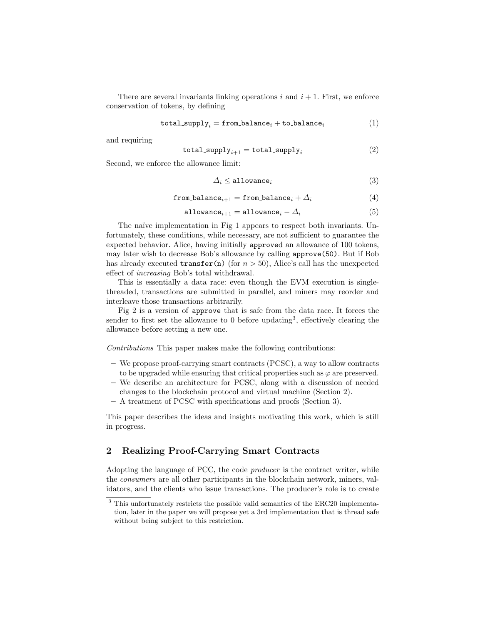There are several invariants linking operations i and  $i + 1$ . First, we enforce conservation of tokens, by defining

$$
\mathtt{total\_supply}_i = \mathtt{from\_balance}_i + \mathtt{to\_balance}_i \qquad \qquad (1)
$$

and requiring

$$
\verb|total_supply|_{i+1} = \verb|total_supply|_{i} \qquad \qquad (2)
$$

Second, we enforce the allowance limit:

$$
\Delta_i \leq \mathtt{allowance}_i \tag{3}
$$

$$
\verb|from balance|_{i+1} = \verb|from balance|_{i} + \Delta_{i} \qquad (4)
$$

$$
\mathtt{allowance}_{i+1} = \mathtt{allowance}_{i} - \Delta_i \tag{5}
$$

The naïve implementation in Fig 1 appears to respect both invariants. Unfortunately, these conditions, while necessary, are not sufficient to guarantee the expected behavior. Alice, having initially approved an allowance of 100 tokens, may later wish to decrease Bob's allowance by calling approve(50). But if Bob has already executed **transfer(n)** (for  $n > 50$ ), Alice's call has the unexpected effect of increasing Bob's total withdrawal.

This is essentially a data race: even though the EVM execution is singlethreaded, transactions are submitted in parallel, and miners may reorder and interleave those transactions arbitrarily.

Fig 2 is a version of approve that is safe from the data race. It forces the sender to first set the allowance to  $0$  before updating<sup>3</sup>, effectively clearing the allowance before setting a new one.

Contributions This paper makes make the following contributions:

- We propose proof-carrying smart contracts (PCSC), a way to allow contracts to be upgraded while ensuring that critical properties such as  $\varphi$  are preserved.
- We describe an architecture for PCSC, along with a discussion of needed changes to the blockchain protocol and virtual machine (Section 2).
- A treatment of PCSC with specifications and proofs (Section 3).

This paper describes the ideas and insights motivating this work, which is still in progress.

# 2 Realizing Proof-Carrying Smart Contracts

Adopting the language of PCC, the code producer is the contract writer, while the consumers are all other participants in the blockchain network, miners, validators, and the clients who issue transactions. The producer's role is to create

 $^3$  This unfortunately restricts the possible valid semantics of the ERC20 implementation, later in the paper we will propose yet a 3rd implementation that is thread safe without being subject to this restriction.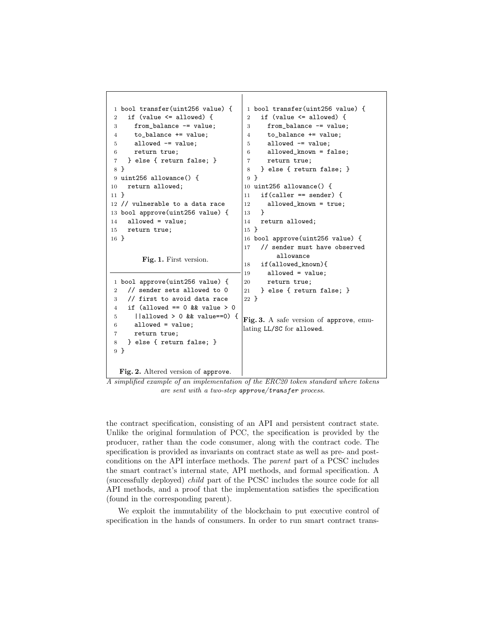

A simplified example of an implementation of the ERC20 token standard where tokens are sent with a two-step approve/transfer process.

the contract specification, consisting of an API and persistent contract state. Unlike the original formulation of PCC, the specification is provided by the producer, rather than the code consumer, along with the contract code. The specification is provided as invariants on contract state as well as pre- and postconditions on the API interface methods. The parent part of a PCSC includes the smart contract's internal state, API methods, and formal specification. A (successfully deployed) child part of the PCSC includes the source code for all API methods, and a proof that the implementation satisfies the specification (found in the corresponding parent).

We exploit the immutability of the blockchain to put executive control of specification in the hands of consumers. In order to run smart contract trans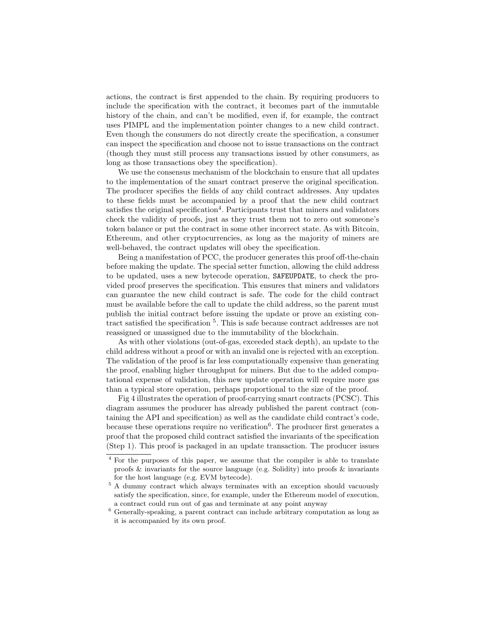actions, the contract is first appended to the chain. By requiring producers to include the specification with the contract, it becomes part of the immutable history of the chain, and can't be modified, even if, for example, the contract uses PIMPL and the implementation pointer changes to a new child contract. Even though the consumers do not directly create the specification, a consumer can inspect the specification and choose not to issue transactions on the contract (though they must still process any transactions issued by other consumers, as long as those transactions obey the specification).

We use the consensus mechanism of the blockchain to ensure that all updates to the implementation of the smart contract preserve the original specification. The producer specifies the fields of any child contract addresses. Any updates to these fields must be accompanied by a proof that the new child contract satisfies the original specification<sup>4</sup>. Participants trust that miners and validators check the validity of proofs, just as they trust them not to zero out someone's token balance or put the contract in some other incorrect state. As with Bitcoin, Ethereum, and other cryptocurrencies, as long as the majority of miners are well-behaved, the contract updates will obey the specification.

Being a manifestation of PCC, the producer generates this proof off-the-chain before making the update. The special setter function, allowing the child address to be updated, uses a new bytecode operation, SAFEUPDATE, to check the provided proof preserves the specification. This ensures that miners and validators can guarantee the new child contract is safe. The code for the child contract must be available before the call to update the child address, so the parent must publish the initial contract before issuing the update or prove an existing contract satisfied the specification <sup>5</sup>. This is safe because contract addresses are not reassigned or unassigned due to the immutability of the blockchain.

As with other violations (out-of-gas, exceeded stack depth), an update to the child address without a proof or with an invalid one is rejected with an exception. The validation of the proof is far less computationally expensive than generating the proof, enabling higher throughput for miners. But due to the added computational expense of validation, this new update operation will require more gas than a typical store operation, perhaps proportional to the size of the proof.

Fig 4 illustrates the operation of proof-carrying smart contracts (PCSC). This diagram assumes the producer has already published the parent contract (containing the API and specification) as well as the candidate child contract's code, because these operations require no verification<sup>6</sup>. The producer first generates a proof that the proposed child contract satisfied the invariants of the specification (Step 1). This proof is packaged in an update transaction. The producer issues

<sup>4</sup> For the purposes of this paper, we assume that the compiler is able to translate proofs & invariants for the source language (e.g. Solidity) into proofs & invariants for the host language (e.g. EVM bytecode).

<sup>5</sup> A dummy contract which always terminates with an exception should vacuously satisfy the specification, since, for example, under the Ethereum model of execution, a contract could run out of gas and terminate at any point anyway

 $^6$  Generally-speaking, a parent contract can include arbitrary computation as long as it is accompanied by its own proof.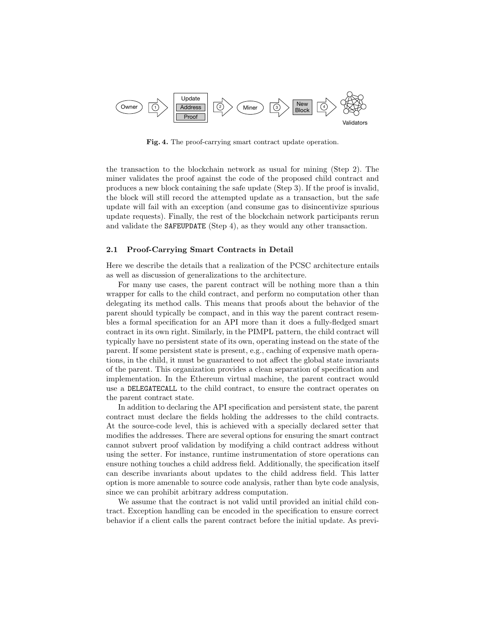

Fig. 4. The proof-carrying smart contract update operation.

the transaction to the blockchain network as usual for mining (Step 2). The miner validates the proof against the code of the proposed child contract and produces a new block containing the safe update (Step 3). If the proof is invalid, the block will still record the attempted update as a transaction, but the safe update will fail with an exception (and consume gas to disincentivize spurious update requests). Finally, the rest of the blockchain network participants rerun and validate the SAFEUPDATE (Step 4), as they would any other transaction.

#### 2.1 Proof-Carrying Smart Contracts in Detail

Here we describe the details that a realization of the PCSC architecture entails as well as discussion of generalizations to the architecture.

For many use cases, the parent contract will be nothing more than a thin wrapper for calls to the child contract, and perform no computation other than delegating its method calls. This means that proofs about the behavior of the parent should typically be compact, and in this way the parent contract resembles a formal specification for an API more than it does a fully-fledged smart contract in its own right. Similarly, in the PIMPL pattern, the child contract will typically have no persistent state of its own, operating instead on the state of the parent. If some persistent state is present, e.g., caching of expensive math operations, in the child, it must be guaranteed to not affect the global state invariants of the parent. This organization provides a clean separation of specification and implementation. In the Ethereum virtual machine, the parent contract would use a DELEGATECALL to the child contract, to ensure the contract operates on the parent contract state.

In addition to declaring the API specification and persistent state, the parent contract must declare the fields holding the addresses to the child contracts. At the source-code level, this is achieved with a specially declared setter that modifies the addresses. There are several options for ensuring the smart contract cannot subvert proof validation by modifying a child contract address without using the setter. For instance, runtime instrumentation of store operations can ensure nothing touches a child address field. Additionally, the specification itself can describe invariants about updates to the child address field. This latter option is more amenable to source code analysis, rather than byte code analysis, since we can prohibit arbitrary address computation.

We assume that the contract is not valid until provided an initial child contract. Exception handling can be encoded in the specification to ensure correct behavior if a client calls the parent contract before the initial update. As previ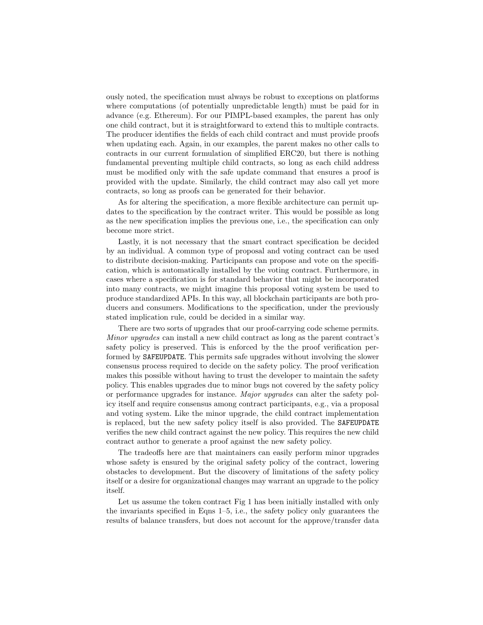ously noted, the specification must always be robust to exceptions on platforms where computations (of potentially unpredictable length) must be paid for in advance (e.g. Ethereum). For our PIMPL-based examples, the parent has only one child contract, but it is straightforward to extend this to multiple contracts. The producer identifies the fields of each child contract and must provide proofs when updating each. Again, in our examples, the parent makes no other calls to contracts in our current formulation of simplified ERC20, but there is nothing fundamental preventing multiple child contracts, so long as each child address must be modified only with the safe update command that ensures a proof is provided with the update. Similarly, the child contract may also call yet more contracts, so long as proofs can be generated for their behavior.

As for altering the specification, a more flexible architecture can permit updates to the specification by the contract writer. This would be possible as long as the new specification implies the previous one, i.e., the specification can only become more strict.

Lastly, it is not necessary that the smart contract specification be decided by an individual. A common type of proposal and voting contract can be used to distribute decision-making. Participants can propose and vote on the specification, which is automatically installed by the voting contract. Furthermore, in cases where a specification is for standard behavior that might be incorporated into many contracts, we might imagine this proposal voting system be used to produce standardized APIs. In this way, all blockchain participants are both producers and consumers. Modifications to the specification, under the previously stated implication rule, could be decided in a similar way.

There are two sorts of upgrades that our proof-carrying code scheme permits. Minor upgrades can install a new child contract as long as the parent contract's safety policy is preserved. This is enforced by the the proof verification performed by SAFEUPDATE. This permits safe upgrades without involving the slower consensus process required to decide on the safety policy. The proof verification makes this possible without having to trust the developer to maintain the safety policy. This enables upgrades due to minor bugs not covered by the safety policy or performance upgrades for instance. Major upgrades can alter the safety policy itself and require consensus among contract participants, e.g., via a proposal and voting system. Like the minor upgrade, the child contract implementation is replaced, but the new safety policy itself is also provided. The SAFEUPDATE verifies the new child contract against the new policy. This requires the new child contract author to generate a proof against the new safety policy.

The tradeoffs here are that maintainers can easily perform minor upgrades whose safety is ensured by the original safety policy of the contract, lowering obstacles to development. But the discovery of limitations of the safety policy itself or a desire for organizational changes may warrant an upgrade to the policy itself.

Let us assume the token contract Fig 1 has been initially installed with only the invariants specified in Eqns 1–5, i.e., the safety policy only guarantees the results of balance transfers, but does not account for the approve/transfer data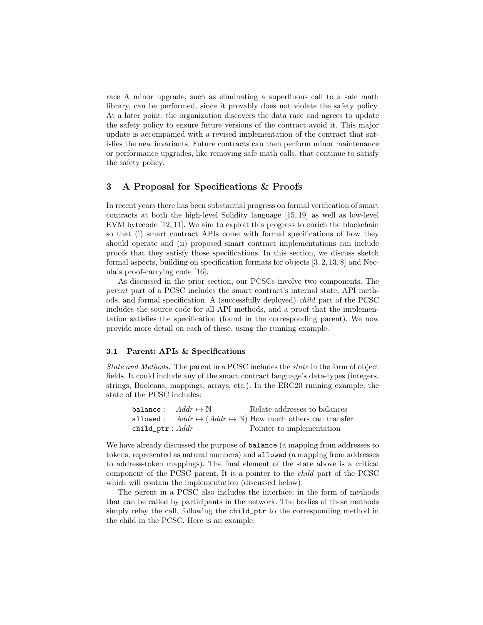race A minor upgrade, such as eliminating a superfluous call to a safe math library, can be performed, since it provably does not violate the safety policy. At a later point, the organization discovers the data race and agrees to update the safety policy to ensure future versions of the contract avoid it. This major update is accompanied with a revised implementation of the contract that satisfies the new invariants. Future contracts can then perform minor maintenance or performance upgrades, like removing safe math calls, that continue to satisfy the safety policy.

### 3 A Proposal for Specifications & Proofs

In recent years there has been substantial progress on formal verification of smart contracts at both the high-level Solidity language [15, 19] as well as low-level EVM bytecode [12, 11]. We aim to exploit this progress to enrich the blockchain so that (i) smart contract APIs come with formal specifications of how they should operate and (ii) proposed smart contract implementations can include proofs that they satisfy those specifications. In this section, we discuss sketch formal aspects, building on specification formats for objects [3, 2, 13, 8] and Necula's proof-carrying code [16].

As discussed in the prior section, our PCSCs involve two components. The parent part of a PCSC includes the smart contract's internal state, API methods, and formal specification. A (successfully deployed) child part of the PCSC includes the source code for all API methods, and a proof that the implementation satisfies the specification (found in the corresponding parent). We now provide more detail on each of these, using the running example.

### 3.1 Parent: APIs & Specifications

State and Methods. The parent in a PCSC includes the state in the form of object fields. It could include any of the smart contract language's data-types (integers, strings, Booleans, mappings, arrays, etc.). In the ERC20 running example, the state of the PCSC includes:

| balance: $Addr \mapsto \mathbb{N}$ | Relate addresses to balances                                                   |
|------------------------------------|--------------------------------------------------------------------------------|
|                                    | allowed: $Addr \mapsto (Addr \mapsto \mathbb{N})$ How much others can transfer |
| child_ptr: $Addr$                  | Pointer to implementation                                                      |

We have already discussed the purpose of balance (a mapping from addresses to tokens, represented as natural numbers) and allowed (a mapping from addresses to address-token mappings). The final element of the state above is a critical component of the PCSC parent. It is a pointer to the child part of the PCSC which will contain the implementation (discussed below).

The parent in a PCSC also includes the interface, in the form of methods that can be called by participants in the network. The bodies of these methods simply relay the call, following the child\_ptr to the corresponding method in the child in the PCSC. Here is an example: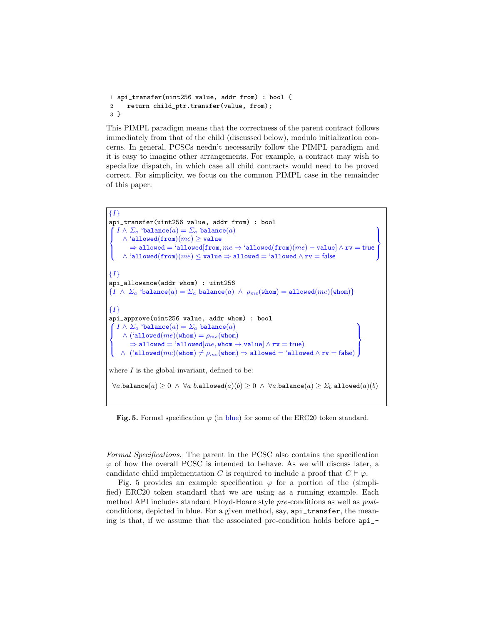```
1 api_transfer(uint256 value, addr from) : bool {
2 return child_ptr.transfer(value, from);
3 }
```
This PIMPL paradigm means that the correctness of the parent contract follows immediately from that of the child (discussed below), modulo initialization concerns. In general, PCSCs needn't necessarily follow the PIMPL paradigm and it is easy to imagine other arrangements. For example, a contract may wish to specialize dispatch, in which case all child contracts would need to be proved correct. For simplicity, we focus on the common PIMPL case in the remainder of this paper.

```
\{I\}api_transfer(uint256 value, addr from) : bool
\sqrt{ }\int\overline{\mathcal{L}}I \wedge \Sigma_a 'balance(a) = \Sigma_a balance(a)\wedge 'allowed(from)(me) \geq value
        \Rightarrow allowed = 'allowed[from, me \mapsto 'allowed(from)(me) – value] \land rv = true
      \wedge 'allowed(from)(me) \leq value \Rightarrow allowed = 'allowed \wedge rv = false
                                                                                                                 Υ
                                                                                                                 \mathcal{L}\int\{I\}api_allowance(addr whom) : uint256
\{I~\wedge~\varSigma_a 'balance(a)=\varSigma_a balance(a)~\wedge~\rho_{me}(whom) = allowed(me)(\texttt{whom})\}\{I\}api_approve(uint256 value, addr whom) : bool
\sqrt{ }\int\mathcal{L}I \wedge \Sigma_a 'balance(a) = \Sigma_a balance(a)\wedge ('allowed(me)(whom) = \rho_{me}(whom)
        \Rightarrow allowed = 'allowed[me, whom \mapsto value] \wedge rv = true)
     \wedge ('allowed(me)(whom) \neq \rho_{me}(whom) \Rightarrow allowed = 'allowed \wedge rv = false)
                                                                                                         Υ
                                                                                                         \mathcal{L}\intwhere I is the global invariant, defined to be:
 \forall a.\mathtt{balance}(a) \geq 0 \land \forall a \ b.\mathtt{allowed}(a)(b) \geq 0 \land \forall a.\mathtt{balance}(a) \geq \Sigma_b \mathtt{allowed}(a)(b)
```
#### Fig. 5. Formal specification  $\varphi$  (in blue) for some of the ERC20 token standard.

Formal Specifications. The parent in the PCSC also contains the specification  $\varphi$  of how the overall PCSC is intended to behave. As we will discuss later, a candidate child implementation C is required to include a proof that  $C \models \varphi$ .

Fig. 5 provides an example specification  $\varphi$  for a portion of the (simplified) ERC20 token standard that we are using as a running example. Each method API includes standard Floyd-Hoare style pre-conditions as well as postconditions, depicted in blue. For a given method, say, api\_transfer, the meaning is that, if we assume that the associated pre-condition holds before api\_-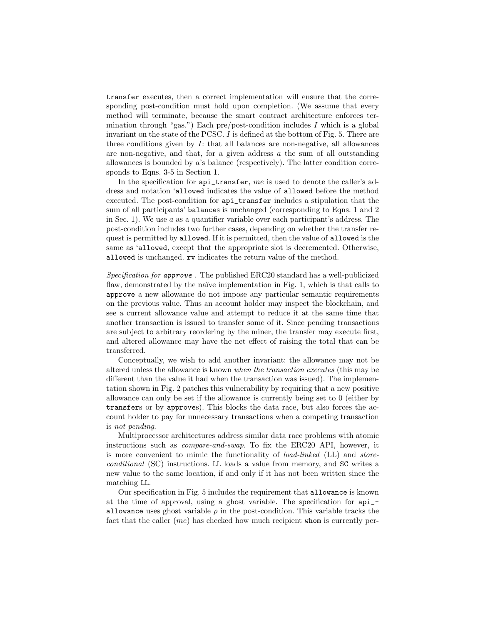transfer executes, then a correct implementation will ensure that the corresponding post-condition must hold upon completion. (We assume that every method will terminate, because the smart contract architecture enforces termination through "gas.") Each pre/post-condition includes  $I$  which is a global invariant on the state of the PCSC. I is defined at the bottom of Fig. 5. There are three conditions given by  $I$ : that all balances are non-negative, all allowances are non-negative, and that, for a given address  $a$  the sum of all outstanding allowances is bounded by  $a$ 's balance (respectively). The latter condition corresponds to Eqns. 3-5 in Section 1.

In the specification for api\_transfer, me is used to denote the caller's address and notation 'allowed indicates the value of allowed before the method executed. The post-condition for api\_transfer includes a stipulation that the sum of all participants' balances is unchanged (corresponding to Eqns. 1 and 2 in Sec. 1). We use  $a$  as a quantifier variable over each participant's address. The post-condition includes two further cases, depending on whether the transfer request is permitted by allowed. If it is permitted, then the value of allowed is the same as 'allowed, except that the appropriate slot is decremented. Otherwise, allowed is unchanged. rv indicates the return value of the method.

Specification for approve . The published ERC20 standard has a well-publicized flaw, demonstrated by the naïve implementation in Fig. 1, which is that calls to approve a new allowance do not impose any particular semantic requirements on the previous value. Thus an account holder may inspect the blockchain, and see a current allowance value and attempt to reduce it at the same time that another transaction is issued to transfer some of it. Since pending transactions are subject to arbitrary reordering by the miner, the transfer may execute first, and altered allowance may have the net effect of raising the total that can be transferred.

Conceptually, we wish to add another invariant: the allowance may not be altered unless the allowance is known when the transaction executes (this may be different than the value it had when the transaction was issued). The implementation shown in Fig. 2 patches this vulnerability by requiring that a new positive allowance can only be set if the allowance is currently being set to 0 (either by transfers or by approves). This blocks the data race, but also forces the account holder to pay for unnecessary transactions when a competing transaction is not pending.

Multiprocessor architectures address similar data race problems with atomic instructions such as compare-and-swap. To fix the ERC20 API, however, it is more convenient to mimic the functionality of load-linked (LL) and storeconditional (SC) instructions. LL loads a value from memory, and SC writes a new value to the same location, if and only if it has not been written since the matching LL.

Our specification in Fig. 5 includes the requirement that allowance is known at the time of approval, using a ghost variable. The specification for api\_ allowance uses ghost variable  $\rho$  in the post-condition. This variable tracks the fact that the caller (me) has checked how much recipient whom is currently per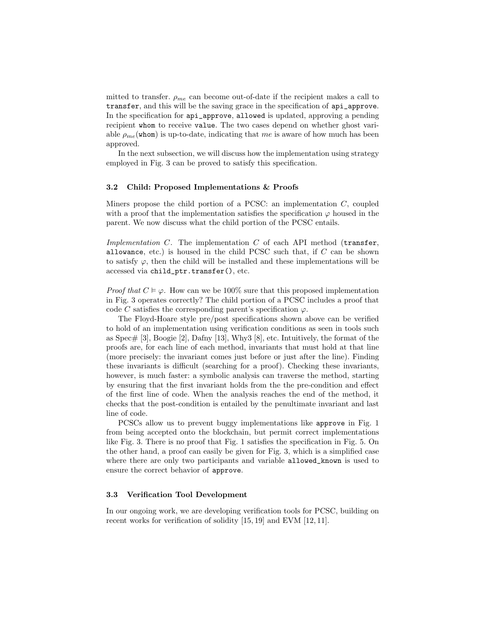mitted to transfer.  $\rho_{me}$  can become out-of-date if the recipient makes a call to transfer, and this will be the saving grace in the specification of api\_approve. In the specification for api\_approve, allowed is updated, approving a pending recipient whom to receive value. The two cases depend on whether ghost variable  $\rho_{me}$ (whom) is up-to-date, indicating that me is aware of how much has been approved.

In the next subsection, we will discuss how the implementation using strategy employed in Fig. 3 can be proved to satisfy this specification.

### 3.2 Child: Proposed Implementations & Proofs

Miners propose the child portion of a PCSC: an implementation  $C$ , coupled with a proof that the implementation satisfies the specification  $\varphi$  housed in the parent. We now discuss what the child portion of the PCSC entails.

Implementation  $C$ . The implementation  $C$  of each API method (transfer, allowance, etc.) is housed in the child PCSC such that, if  $C$  can be shown to satisfy  $\varphi$ , then the child will be installed and these implementations will be accessed via child\_ptr.transfer(), etc.

*Proof that*  $C \models \varphi$ . How can we be 100% sure that this proposed implementation in Fig. 3 operates correctly? The child portion of a PCSC includes a proof that code C satisfies the corresponding parent's specification  $\varphi$ .

The Floyd-Hoare style pre/post specifications shown above can be verified to hold of an implementation using verification conditions as seen in tools such as Spec# [3], Boogie [2], Dafny [13], Why3 [8], etc. Intuitively, the format of the proofs are, for each line of each method, invariants that must hold at that line (more precisely: the invariant comes just before or just after the line). Finding these invariants is difficult (searching for a proof). Checking these invariants, however, is much faster: a symbolic analysis can traverse the method, starting by ensuring that the first invariant holds from the the pre-condition and effect of the first line of code. When the analysis reaches the end of the method, it checks that the post-condition is entailed by the penultimate invariant and last line of code.

PCSCs allow us to prevent buggy implementations like approve in Fig. 1 from being accepted onto the blockchain, but permit correct implementations like Fig. 3. There is no proof that Fig. 1 satisfies the specification in Fig. 5. On the other hand, a proof can easily be given for Fig. 3, which is a simplified case where there are only two participants and variable **allowed\_known** is used to ensure the correct behavior of approve.

### 3.3 Verification Tool Development

In our ongoing work, we are developing verification tools for PCSC, building on recent works for verification of solidity [15, 19] and EVM [12, 11].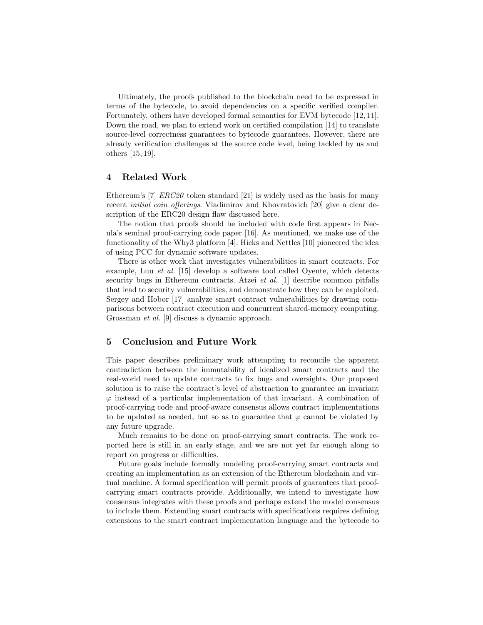Ultimately, the proofs published to the blockchain need to be expressed in terms of the bytecode, to avoid dependencies on a specific verified compiler. Fortunately, others have developed formal semantics for EVM bytecode [12, 11]. Down the road, we plan to extend work on certified compilation [14] to translate source-level correctness guarantees to bytecode guarantees. However, there are already verification challenges at the source code level, being tackled by us and others [15, 19].

# 4 Related Work

Ethereum's [7] ERC20 token standard [21] is widely used as the basis for many recent initial coin offerings. Vladimirov and Khovratovich [20] give a clear description of the ERC20 design flaw discussed here.

The notion that proofs should be included with code first appears in Necula's seminal proof-carrying code paper [16]. As mentioned, we make use of the functionality of the Why3 platform [4]. Hicks and Nettles [10] pioneered the idea of using PCC for dynamic software updates.

There is other work that investigates vulnerabilities in smart contracts. For example, Luu et al. [15] develop a software tool called Oyente, which detects security bugs in Ethereum contracts. Atzei et al. [1] describe common pitfalls that lead to security vulnerabilities, and demonstrate how they can be exploited. Sergey and Hobor [17] analyze smart contract vulnerabilities by drawing comparisons between contract execution and concurrent shared-memory computing. Grossman et al. [9] discuss a dynamic approach.

### 5 Conclusion and Future Work

This paper describes preliminary work attempting to reconcile the apparent contradiction between the immutability of idealized smart contracts and the real-world need to update contracts to fix bugs and oversights. Our proposed solution is to raise the contract's level of abstraction to guarantee an invariant  $\varphi$  instead of a particular implementation of that invariant. A combination of proof-carrying code and proof-aware consensus allows contract implementations to be updated as needed, but so as to guarantee that  $\varphi$  cannot be violated by any future upgrade.

Much remains to be done on proof-carrying smart contracts. The work reported here is still in an early stage, and we are not yet far enough along to report on progress or difficulties.

Future goals include formally modeling proof-carrying smart contracts and creating an implementation as an extension of the Ethereum blockchain and virtual machine. A formal specification will permit proofs of guarantees that proofcarrying smart contracts provide. Additionally, we intend to investigate how consensus integrates with these proofs and perhaps extend the model consensus to include them. Extending smart contracts with specifications requires defining extensions to the smart contract implementation language and the bytecode to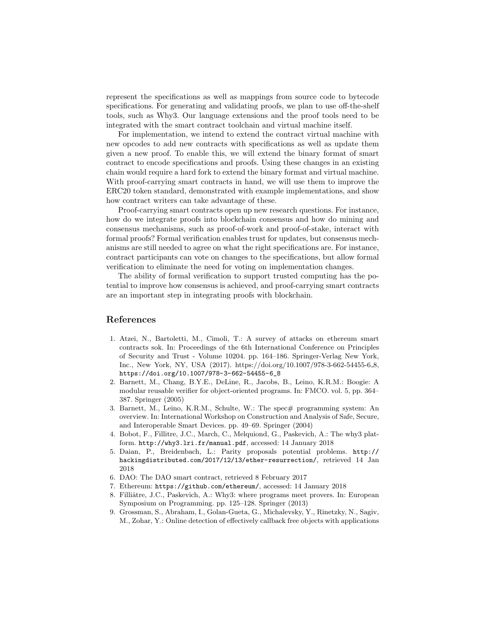represent the specifications as well as mappings from source code to bytecode specifications. For generating and validating proofs, we plan to use off-the-shelf tools, such as Why3. Our language extensions and the proof tools need to be integrated with the smart contract toolchain and virtual machine itself.

For implementation, we intend to extend the contract virtual machine with new opcodes to add new contracts with specifications as well as update them given a new proof. To enable this, we will extend the binary format of smart contract to encode specifications and proofs. Using these changes in an existing chain would require a hard fork to extend the binary format and virtual machine. With proof-carrying smart contracts in hand, we will use them to improve the ERC20 token standard, demonstrated with example implementations, and show how contract writers can take advantage of these.

Proof-carrying smart contracts open up new research questions. For instance, how do we integrate proofs into blockchain consensus and how do mining and consensus mechanisms, such as proof-of-work and proof-of-stake, interact with formal proofs? Formal verification enables trust for updates, but consensus mechanisms are still needed to agree on what the right specifications are. For instance, contract participants can vote on changes to the specifications, but allow formal verification to eliminate the need for voting on implementation changes.

The ability of formal verification to support trusted computing has the potential to improve how consensus is achieved, and proof-carrying smart contracts are an important step in integrating proofs with blockchain.

# References

- 1. Atzei, N., Bartoletti, M., Cimoli, T.: A survey of attacks on ethereum smart contracts sok. In: Proceedings of the 6th International Conference on Principles of Security and Trust - Volume 10204. pp. 164–186. Springer-Verlag New York, Inc., New York, NY, USA (2017). https://doi.org/10.1007/978-3-662-54455-6 8, https://doi.org/10.1007/978-3-662-54455-6\_8
- 2. Barnett, M., Chang, B.Y.E., DeLine, R., Jacobs, B., Leino, K.R.M.: Boogie: A modular reusable verifier for object-oriented programs. In: FMCO. vol. 5, pp. 364– 387. Springer (2005)
- 3. Barnett, M., Leino, K.R.M., Schulte, W.: The spec# programming system: An overview. In: International Workshop on Construction and Analysis of Safe, Secure, and Interoperable Smart Devices. pp. 49–69. Springer (2004)
- 4. Bobot, F., Fillitre, J.C., March, C., Melquiond, G., Paskevich, A.: The why3 platform. http://why3.lri.fr/manual.pdf, accessed: 14 January 2018
- 5. Daian, P., Breidenbach, L.: Parity proposals potential problems. http:// hackingdistributed.com/2017/12/13/ether-resurrection/, retrieved 14 Jan 2018
- 6. DAO: The DAO smart contract, retrieved 8 February 2017
- 7. Ethereum: https://github.com/ethereum/, accessed: 14 January 2018
- 8. Filliâtre, J.C., Paskevich, A.: Why3: where programs meet provers. In: European Symposium on Programming. pp. 125–128. Springer (2013)
- 9. Grossman, S., Abraham, I., Golan-Gueta, G., Michalevsky, Y., Rinetzky, N., Sagiv, M., Zohar, Y.: Online detection of effectively callback free objects with applications